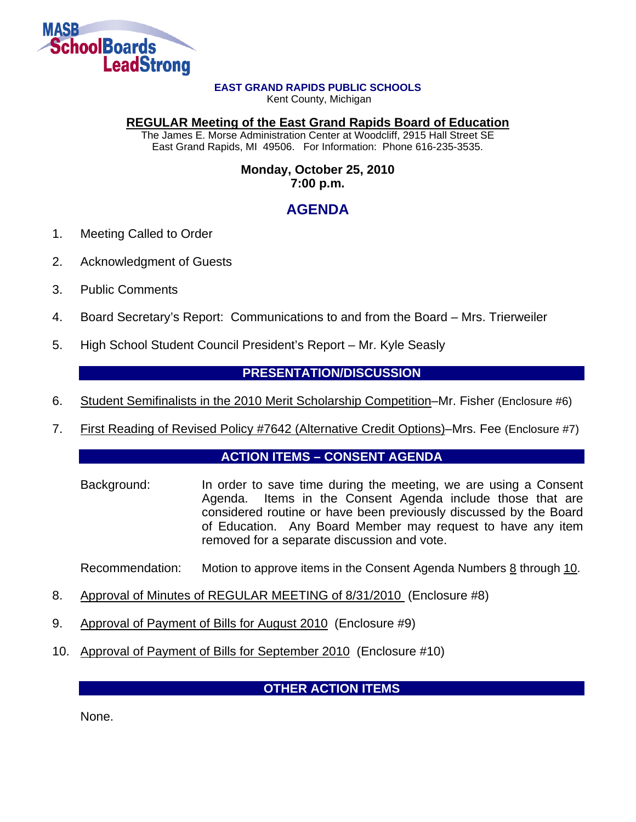

#### **EAST GRAND RAPIDS PUBLIC SCHOOLS**

Kent County, Michigan

#### **REGULAR Meeting of the East Grand Rapids Board of Education**

The James E. Morse Administration Center at Woodcliff, 2915 Hall Street SE East Grand Rapids, MI 49506. For Information: Phone 616-235-3535.

#### **Monday, October 25, 2010 7:00 p.m.**

# **AGENDA**

- 1. Meeting Called to Order
- 2. Acknowledgment of Guests
- 3. Public Comments
- 4. Board Secretary's Report: Communications to and from the Board Mrs. Trierweiler
- 5. High School Student Council President's Report Mr. Kyle Seasly

## **PRESENTATION/DISCUSSION**

- 6. Student Semifinalists in the 2010 Merit Scholarship Competition–Mr. Fisher (Enclosure #6)
- 7. First Reading of Revised Policy #7642 (Alternative Credit Options)–Mrs. Fee (Enclosure #7)

## **ACTION ITEMS – CONSENT AGENDA**

Background: In order to save time during the meeting, we are using a Consent Agenda. Items in the Consent Agenda include those that are considered routine or have been previously discussed by the Board of Education. Any Board Member may request to have any item removed for a separate discussion and vote.

Recommendation: Motion to approve items in the Consent Agenda Numbers  $8$  through 10.

- 8. Approval of Minutes of REGULAR MEETING of 8/31/2010 (Enclosure #8)
- 9. Approval of Payment of Bills for August 2010 (Enclosure #9)
- 10. Approval of Payment of Bills for September 2010 (Enclosure #10)

## **OTHER ACTION ITEMS**

None.